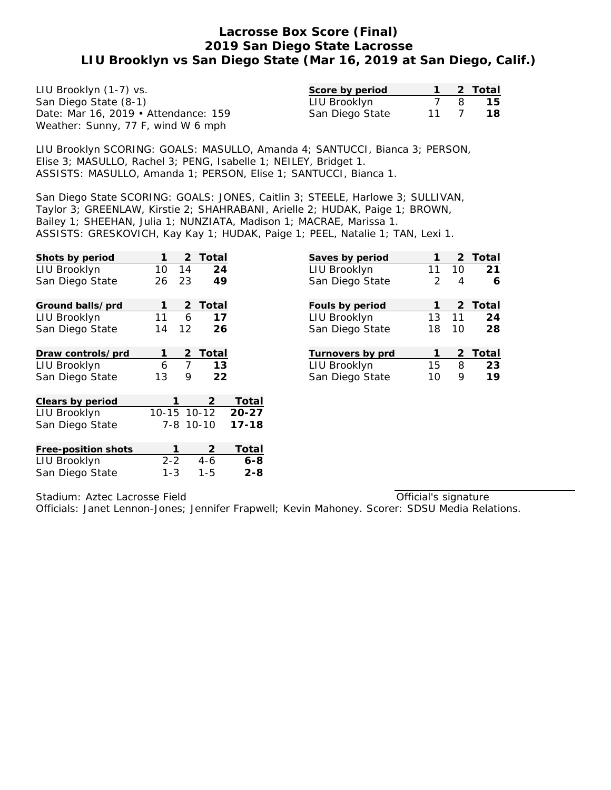| LIU Brooklyn (1-7) vs.               | Score by period |    |   | 2 Total |
|--------------------------------------|-----------------|----|---|---------|
| San Diego State (8-1)                | LIU Brooklyn    |    | 8 | 15.     |
| Date: Mar 16, 2019 • Attendance: 159 | San Diego State | 11 |   | 18      |
| Weather: Sunny, 77 F, wind W 6 mph   |                 |    |   |         |

LIU Brooklyn SCORING: GOALS: MASULLO, Amanda 4; SANTUCCI, Bianca 3; PERSON, Elise 3; MASULLO, Rachel 3; PENG, Isabelle 1; NEILEY, Bridget 1. ASSISTS: MASULLO, Amanda 1; PERSON, Elise 1; SANTUCCI, Bianca 1.

San Diego State SCORING: GOALS: JONES, Caitlin 3; STEELE, Harlowe 3; SULLIVAN, Taylor 3; GREENLAW, Kirstie 2; SHAHRABANI, Arielle 2; HUDAK, Paige 1; BROWN, Bailey 1; SHEEHAN, Julia 1; NUNZIATA, Madison 1; MACRAE, Marissa 1. ASSISTS: GRESKOVICH, Kay Kay 1; HUDAK, Paige 1; PEEL, Natalie 1; TAN, Lexi 1.

| Shots by period     | 1       | 2              | Total          |           |
|---------------------|---------|----------------|----------------|-----------|
| LIU Brooklyn        | 10      | 14             | 24             |           |
| San Diego State     | 26      | 23             | 49             |           |
|                     |         |                |                |           |
| Ground balls/prd    | 1       | 2              | Total          |           |
| LIU Brooklyn        | 11      | 6              | 17             |           |
| San Diego State     | 14      | 12             | 26             |           |
| Draw controls/prd   | 1       | $\overline{2}$ | Total          |           |
| LIU Brooklyn        | 6       | $\overline{7}$ | 13             |           |
| San Diego State     | 13      | 9              | 22             |           |
| Clears by period    | 1       |                | 2              | Total     |
| LIU Brooklyn        |         |                | 10-15 10-12    | $20 - 27$ |
| San Diego State     |         |                | 7-8 10-10      | $17 - 18$ |
| Free-position shots | 1       |                | $\overline{2}$ | Total     |
|                     | $2 - 2$ |                | 4-6            | 6-8       |
| LIU Brooklyn        |         |                |                |           |
| San Diego State     | $1 - 3$ |                | $1 - 5$        | $2 - 8$   |

| Saves by period  |               | 2              | Total   |
|------------------|---------------|----------------|---------|
| LIU Brooklyn     | 11            | 10             | 21      |
| San Diego State  | $\mathcal{L}$ | $\overline{4}$ | 6       |
| Fouls by period  | 1             |                | 2 Total |
| LIU Brooklyn     | 13            | 11             | 24      |
| San Diego State  | 18            | 10             | 28      |
| Turnovers by prd | 1             |                | 2 Total |
| LIU Brooklyn     | 15            | 8              | 23      |
| San Diego State  | 10            | 9              | 19      |
|                  |               |                |         |

Stadium: Aztec Lacrosse Field

Officials: Janet Lennon-Jones; Jennifer Frapwell; Kevin Mahoney. Scorer: SDSU Media Relations. Official's signature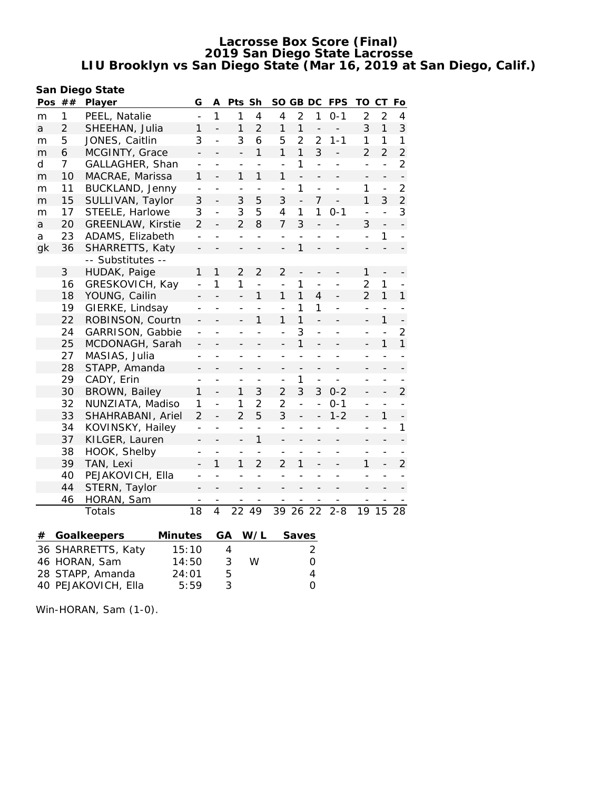**San Diego State**

| Pos | ##                  | Player                   |         | G                        | Α                        | Pts Sh                   |                          |                          |                          | SO GB DC                 | <b>FPS</b>               | ТO                       | <b>CT</b>                | $F_{\Omega}$             |
|-----|---------------------|--------------------------|---------|--------------------------|--------------------------|--------------------------|--------------------------|--------------------------|--------------------------|--------------------------|--------------------------|--------------------------|--------------------------|--------------------------|
| m   | 1                   | PEEL, Natalie            |         | $\frac{1}{2}$            | 1                        | 1                        | $\overline{4}$           | $\overline{4}$           | $\overline{2}$           | $\mathbf{1}$             | $0 - 1$                  | $\overline{2}$           | $\overline{2}$           | 4                        |
| a   | $\overline{2}$      | SHEEHAN, Julia           |         | $\mathbf{1}$             | $\overline{\phantom{0}}$ | $\mathbf{1}$             | $\overline{2}$           | $\mathbf{1}$             | $\mathbf{1}$             | $\overline{a}$           | $\overline{\phantom{0}}$ | 3                        | $\mathbf{1}$             | 3                        |
| m   | 5                   | JONES, Caitlin           |         | 3                        | $\overline{a}$           | 3                        | 6                        | 5                        | $\overline{2}$           | $\overline{2}$           | $1 - 1$                  | 1                        | $\mathbf{1}$             | $\mathbf{1}$             |
| m   | 6                   | MCGINTY, Grace           |         | $\overline{a}$           |                          | $\overline{\phantom{a}}$ | $\mathbf{1}$             | $\mathbf{1}$             | $\mathbf{1}$             | 3                        | $\overline{a}$           | $\overline{2}$           | $\overline{2}$           | $\overline{2}$           |
| d   | 7                   | GALLAGHER, Shan          |         | $\overline{\phantom{0}}$ | $\overline{\phantom{a}}$ | $\overline{a}$           | $\overline{a}$           | $\bar{\phantom{a}}$      | 1                        | $\overline{a}$           | $\overline{a}$           | $\overline{\phantom{0}}$ | $\overline{\phantom{0}}$ | $\overline{2}$           |
| m   | 10                  | MACRAE, Marissa          |         | 1                        |                          | 1                        | $\mathbf{1}$             | 1                        | $\overline{a}$           | -                        |                          | $\qquad \qquad -$        | -                        | $\overline{\phantom{0}}$ |
| m   | 11                  | BUCKLAND, Jenny          |         | $\overline{\phantom{0}}$ | $\overline{\phantom{a}}$ | $\frac{1}{2}$            | $\overline{a}$           | $\bar{\phantom{a}}$      | 1                        | $\overline{a}$           | $\overline{a}$           | 1                        | $\overline{\phantom{a}}$ | $\overline{c}$           |
| m   | 15                  | SULLIVAN, Taylor         |         | 3                        |                          | 3                        | 5                        | 3                        | $\overline{a}$           | $\overline{7}$           | $\overline{a}$           | $\mathbf{1}$             | 3                        | $\overline{2}$           |
| m   | 17                  | STEELE, Harlowe          |         | 3                        | $\overline{a}$           | 3                        | 5                        | $\overline{4}$           | 1                        | 1                        | $0 - 1$                  | $\overline{a}$           | $\overline{a}$           | 3                        |
| a   | 20                  | <b>GREENLAW, Kirstie</b> |         | $\overline{2}$           | $\overline{\phantom{a}}$ | $\overline{2}$           | 8                        | $\overline{7}$           | 3                        |                          |                          | 3                        | $\qquad \qquad -$        |                          |
| a   | 23                  | ADAMS, Elizabeth         |         | $\qquad \qquad -$        | $\frac{1}{2}$            | $\frac{1}{2}$            | $\qquad \qquad -$        | $\frac{1}{2}$            | $\overline{a}$           | $\overline{\phantom{0}}$ |                          | $\overline{\phantom{0}}$ | 1                        |                          |
| gk  | 36                  | SHARRETTS, Katy          |         |                          |                          |                          |                          |                          | 1                        |                          |                          |                          |                          |                          |
|     |                     | -- Substitutes --        |         |                          |                          |                          |                          |                          |                          |                          |                          |                          |                          |                          |
|     | 3                   | HUDAK, Paige             |         | $\mathbf{1}$             | 1                        | $\overline{2}$           | $\overline{2}$           | $\overline{2}$           | $\overline{a}$           | -                        |                          | $\mathbf{1}$             | $\overline{a}$           |                          |
|     | 16                  | GRESKOVICH, Kay          |         | $\overline{\phantom{0}}$ | 1                        | 1                        | $\overline{\phantom{a}}$ | $\frac{1}{2}$            | 1                        | $\overline{a}$           | $\overline{\phantom{0}}$ | $\overline{2}$           | 1                        | $\overline{\phantom{0}}$ |
|     | 18                  | YOUNG, Cailin            |         | -                        | $\overline{\phantom{0}}$ | $\overline{a}$           | 1                        | $\mathbf{1}$             | $\mathbf{1}$             | $\overline{4}$           | $\overline{\phantom{0}}$ | $\overline{2}$           | $\mathbf{1}$             | $\mathbf{1}$             |
|     | 19                  | GIERKE, Lindsay          |         | $\overline{\phantom{0}}$ | $\overline{\phantom{a}}$ | $\overline{a}$           | $\overline{a}$           | $\overline{a}$           | 1                        | 1                        | $\overline{\phantom{0}}$ | $\overline{\phantom{0}}$ | $\overline{a}$           |                          |
|     | 22                  | ROBINSON, Courtn         |         | $\overline{a}$           |                          | $\overline{a}$           | $\mathbf{1}$             | $\mathbf{1}$             | $\mathbf{1}$             | $\overline{a}$           |                          | $\overline{\phantom{a}}$ | $\mathbf{1}$             | $\overline{\phantom{a}}$ |
|     | 24                  | GARRISON, Gabbie         |         | $\overline{a}$           | $\overline{a}$           | $\overline{a}$           | $\overline{a}$           | $\overline{a}$           | 3                        | $\overline{a}$           | $\overline{a}$           | $\overline{a}$           | $\overline{a}$           | $\overline{2}$           |
|     | 25                  | MCDONAGH, Sarah          |         | $\overline{\phantom{0}}$ |                          |                          |                          | $\overline{a}$           | $\mathbf{1}$             |                          |                          |                          | 1                        | $\mathbf{1}$             |
|     | 27                  | MASIAS, Julia            |         | $\overline{\phantom{0}}$ | $\overline{\phantom{a}}$ | $\overline{a}$           | $\overline{\phantom{0}}$ | $\overline{\phantom{0}}$ | $\overline{a}$           | $\overline{\phantom{0}}$ | $\overline{\phantom{0}}$ |                          | $\overline{\phantom{0}}$ |                          |
|     | 28                  | STAPP, Amanda            |         |                          |                          |                          |                          |                          |                          |                          |                          |                          |                          |                          |
|     | 29                  | CADY, Erin               |         | $\overline{\phantom{0}}$ | $\overline{\phantom{a}}$ | $\overline{a}$           | $\overline{\phantom{0}}$ | $\overline{\phantom{a}}$ | 1                        | $\overline{a}$           | $\overline{\phantom{0}}$ | $\overline{\phantom{a}}$ | $\overline{\phantom{0}}$ |                          |
|     | 30                  | BROWN, Bailey            |         | $\mathbf{1}$             | $\qquad \qquad -$        | 1                        | 3                        | $\overline{2}$           | 3                        | 3                        | $0 - 2$                  |                          | $\overline{a}$           | $\overline{2}$           |
|     | 32                  | NUNZIATA, Madiso         |         | 1                        | $\overline{\phantom{0}}$ | 1                        | $\overline{2}$           | $\overline{2}$           | $\overline{\phantom{a}}$ | $\overline{a}$           | $0 - 1$                  | $\frac{1}{2}$            | $\frac{1}{2}$            | $\overline{\phantom{0}}$ |
|     | 33                  | SHAHRABANI, Ariel        |         | $\overline{2}$           | $\overline{\phantom{0}}$ | $\overline{2}$           | 5                        | 3                        | $\overline{\phantom{0}}$ | $\overline{\phantom{0}}$ | $1 - 2$                  |                          | 1                        |                          |
|     | 34                  | KOVINSKY, Hailey         |         | $\overline{a}$           |                          | $\overline{a}$           | $\overline{a}$           | $\overline{a}$           | $\overline{a}$           |                          |                          |                          | $\frac{1}{2}$            | $\mathbf{1}$             |
|     | 37                  | KILGER, Lauren           |         | $\overline{\phantom{0}}$ |                          | $\overline{a}$           | $\mathbf{1}$             | $\overline{a}$           |                          |                          |                          |                          | $\overline{\phantom{0}}$ |                          |
|     | 38                  | HOOK, Shelby             |         | $\overline{a}$           | $\overline{a}$           | $\overline{a}$           | $\overline{a}$           | $\overline{\phantom{0}}$ | $\overline{a}$           |                          | $\overline{\phantom{0}}$ |                          | $\frac{1}{2}$            |                          |
|     | 39                  | TAN, Lexi                |         |                          | 1                        | 1                        | $\overline{2}$           | $\overline{2}$           | 1                        |                          |                          | 1                        |                          | $\overline{2}$           |
|     | 40                  | PEJAKOVICH, Ella         |         | $\overline{\phantom{0}}$ | $\overline{\phantom{0}}$ | $\overline{a}$           | $\overline{\phantom{a}}$ | $\overline{\phantom{a}}$ | $\overline{a}$           | $\overline{a}$           | $\overline{a}$           | $\overline{\phantom{0}}$ | $\overline{a}$           |                          |
|     | 44                  | STERN, Taylor            |         |                          |                          |                          |                          |                          |                          |                          |                          |                          |                          |                          |
|     | 46                  | HORAN, Sam               |         | $\overline{a}$           |                          |                          |                          |                          |                          |                          |                          |                          |                          |                          |
|     |                     | Totals                   |         | 18                       | $\overline{4}$           | 22                       | 49                       | 39                       | 26 22                    |                          | $2 - 8$                  | 19                       | 15                       | 28                       |
| #   |                     | Goalkeepers              | Minutes |                          |                          | GA                       | W/L                      |                          | Saves                    |                          |                          |                          |                          |                          |
|     |                     |                          |         |                          |                          |                          |                          |                          |                          |                          |                          |                          |                          |                          |
|     |                     | 36 SHARRETTS, Katy       |         | 15:10                    |                          | $\overline{4}$           |                          |                          |                          | $\overline{2}$           |                          |                          |                          |                          |
|     |                     | 46 HORAN, Sam            |         | 14:50                    |                          | 3                        | W                        |                          |                          | $\mathbf 0$              |                          |                          |                          |                          |
|     |                     | 28 STAPP, Amanda         |         | 24:01                    |                          | 5                        |                          |                          |                          | $\overline{4}$           |                          |                          |                          |                          |
|     | 40 PEJAKOVICH, Ella |                          | 5:59    |                          | 3                        |                          |                          |                          | 0                        |                          |                          |                          |                          |                          |

Win-HORAN, Sam (1-0).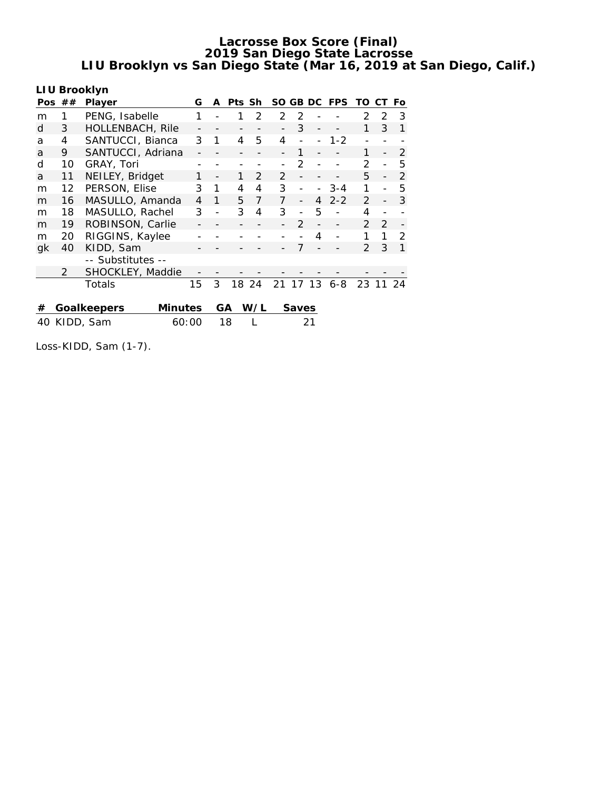**LIU Brooklyn**

|    | Pos $\# \#$ | Player                  | G     | A | Pts Sh |               | SO GB DC      |               |    | <b>FPS</b> | TO            | CT.            | Fo            |
|----|-------------|-------------------------|-------|---|--------|---------------|---------------|---------------|----|------------|---------------|----------------|---------------|
| m  |             | PENG, Isabelle          | 1     |   |        | $\mathcal{P}$ | $\mathcal{P}$ | $\mathcal{P}$ |    |            | $\mathcal{P}$ | $\mathcal{P}$  | 3             |
| d  | 3           | <b>HOLLENBACH, Rile</b> |       |   |        |               |               | 3             |    |            | 1             | 3              | 1             |
| a  | 4           | SANTUCCI, Bianca        | 3     | 1 | 4      | 5             | 4             |               |    | $1 - 2$    |               |                |               |
| a  | 9           | SANTUCCI, Adriana       |       |   |        |               |               |               |    |            | 1             | $\overline{a}$ | 2             |
| d  | 10          | GRAY, Tori              |       |   |        |               |               | 2             |    |            | 2             |                | 5             |
| a  | 11          | NEILEY, Bridget         |       |   |        | $\mathcal{P}$ | 2             |               |    |            | 5             |                | 2             |
| m  | 12          | PERSON, Elise           | 3     | 1 | 4      | 4             | 3             |               |    | $3 - 4$    | 1             |                | 5             |
| m  | 16          | MASULLO, Amanda         | 4     | 1 | 5      | 7             | 7             |               | 4  | $2 - 2$    | 2             |                | 3             |
| m  | 18          | MASULLO, Rachel         | 3     |   | 3      | 4             | 3             |               | 5  |            | 4             |                |               |
| m  | 19          | ROBINSON, Carlie        |       |   |        |               |               | $\mathcal{P}$ |    |            | $\mathcal{P}$ | $\mathcal{P}$  |               |
| m  | 20          | RIGGINS, Kaylee         |       |   |        |               |               |               | 4  |            | 1             | 1              | $\mathcal{P}$ |
| gk | 40          | KIDD, Sam               |       |   |        |               |               |               |    |            | $\mathcal{P}$ | 3              | 1             |
|    |             | -- Substitutes --       |       |   |        |               |               |               |    |            |               |                |               |
|    | 2           | SHOCKLEY, Maddie        |       |   |        |               |               |               |    |            |               |                |               |
|    |             | Totals                  | 15    | 3 | 18     | 24            | 21            | 17            | 13 | $6 - 8$    | 23            | 11             | 24            |
|    |             |                         |       |   |        |               |               |               |    |            |               |                |               |
| #  |             | Minutes<br>Goalkeepers  |       |   | GA     | W/L           |               | Saves         |    |            |               |                |               |
|    |             | 40 KIDD, Sam            | 60:00 |   | 18     |               |               |               | 21 |            |               |                |               |

Loss-KIDD, Sam (1-7).